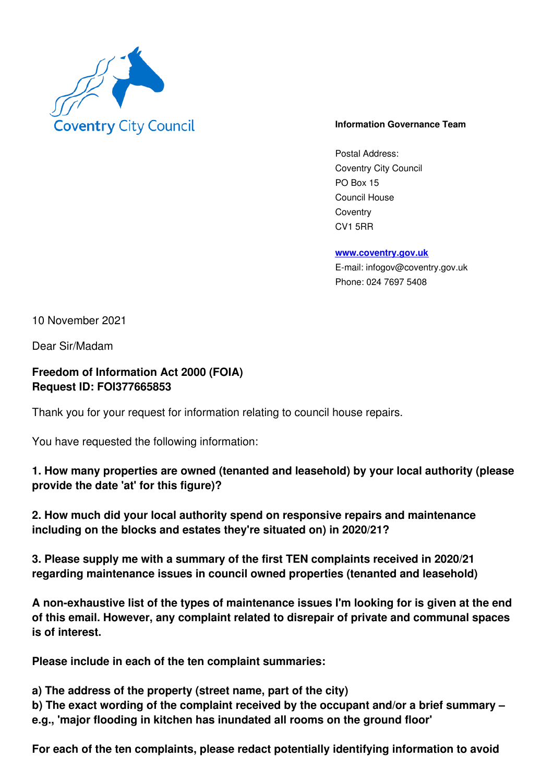

## **Information Governance Team**

Postal Address: Coventry City Council PO Box 15 Council House **Coventry** CV1 5RR

**www.coventry.gov.uk**

E-mail: infogov@coventry.gov.uk Phone: 024 7697 5408

10 November 2021

Dear Sir/Madam

**Freedom of Information Act 2000 (FOIA) Request ID: FOI377665853** 

Thank you for your request for information relating to council house repairs.

You have requested the following information:

**1. How many properties are owned (tenanted and leasehold) by your local authority (please provide the date 'at' for this figure)?** 

**2. How much did your local authority spend on responsive repairs and maintenance including on the blocks and estates they're situated on) in 2020/21?** 

**3. Please supply me with a summary of the first TEN complaints received in 2020/21 regarding maintenance issues in council owned properties (tenanted and leasehold)** 

**A non-exhaustive list of the types of maintenance issues I'm looking for is given at the end of this email. However, any complaint related to disrepair of private and communal spaces is of interest.** 

**Please include in each of the ten complaint summaries:** 

**a) The address of the property (street name, part of the city)** 

**b) The exact wording of the complaint received by the occupant and/or a brief summary – e.g., 'major flooding in kitchen has inundated all rooms on the ground floor'** 

**For each of the ten complaints, please redact potentially identifying information to avoid**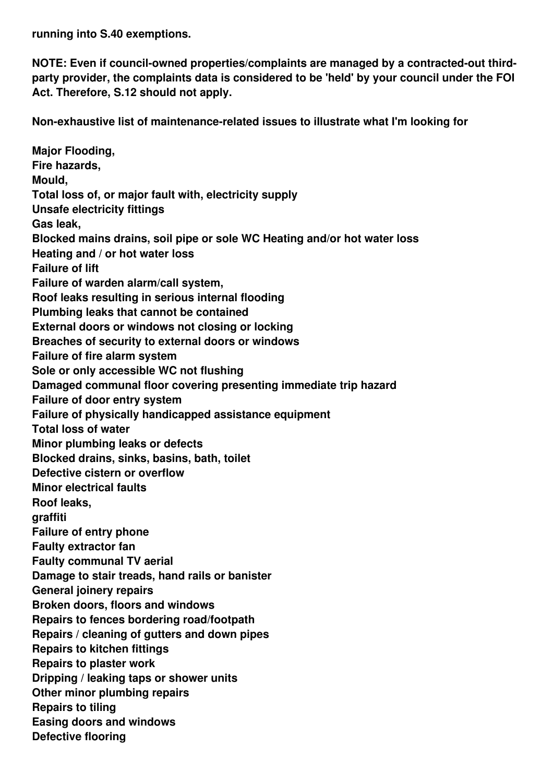**running into S.40 exemptions.** 

**NOTE: Even if council-owned properties/complaints are managed by a contracted-out thirdparty provider, the complaints data is considered to be 'held' by your council under the FOI Act. Therefore, S.12 should not apply.** 

**Non-exhaustive list of maintenance-related issues to illustrate what I'm looking for** 

**Major Flooding, Fire hazards, Mould, Total loss of, or major fault with, electricity supply Unsafe electricity fittings Gas leak, Blocked mains drains, soil pipe or sole WC Heating and/or hot water loss Heating and / or hot water loss Failure of lift Failure of warden alarm/call system, Roof leaks resulting in serious internal flooding Plumbing leaks that cannot be contained External doors or windows not closing or locking Breaches of security to external doors or windows Failure of fire alarm system Sole or only accessible WC not flushing Damaged communal floor covering presenting immediate trip hazard Failure of door entry system Failure of physically handicapped assistance equipment Total loss of water Minor plumbing leaks or defects Blocked drains, sinks, basins, bath, toilet Defective cistern or overflow Minor electrical faults Roof leaks, graffiti Failure of entry phone Faulty extractor fan Faulty communal TV aerial Damage to stair treads, hand rails or banister General joinery repairs Broken doors, floors and windows Repairs to fences bordering road/footpath Repairs / cleaning of gutters and down pipes Repairs to kitchen fittings Repairs to plaster work Dripping / leaking taps or shower units Other minor plumbing repairs Repairs to tiling Easing doors and windows Defective flooring**